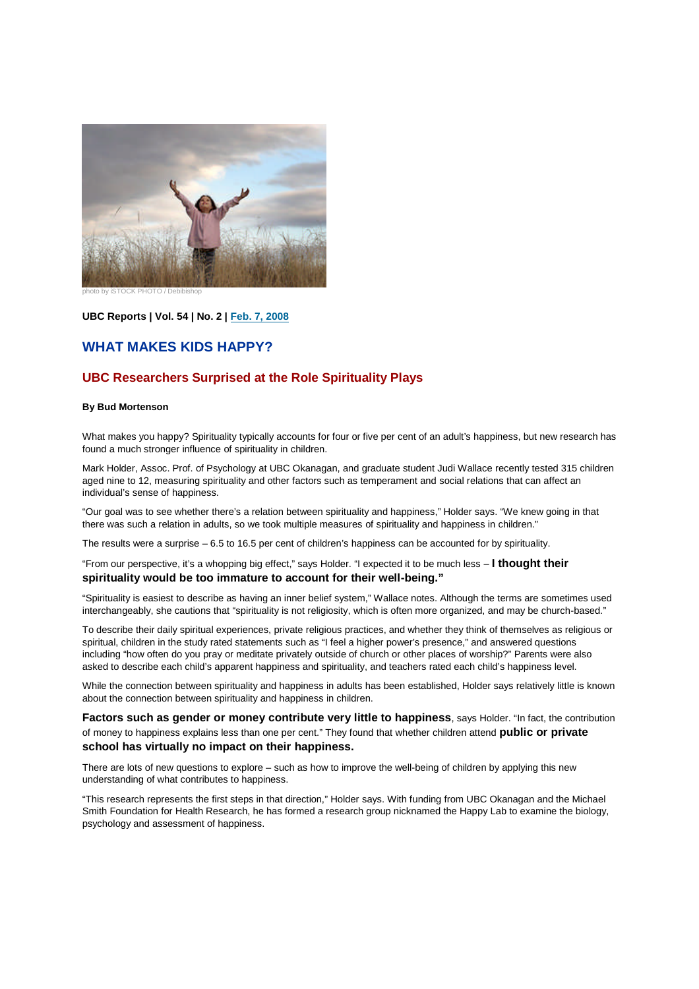

photo by iSTOCK PHOTO / Debibishop

**UBC Reports | Vol. 54 | No. 2 | Feb. 7, 2008**

## **WHAT MAKES KIDS HAPPY?**

## **UBC Researchers Surprised at the Role Spirituality Plays**

## **By Bud Mortenson**

What makes you happy? Spirituality typically accounts for four or five per cent of an adult's happiness, but new research has found a much stronger influence of spirituality in children.

Mark Holder, Assoc. Prof. of Psychology at UBC Okanagan, and graduate student Judi Wallace recently tested 315 children aged nine to 12, measuring spirituality and other factors such as temperament and social relations that can affect an individual's sense of happiness.

"Our goal was to see whether there's a relation between spirituality and happiness," Holder says. "We knew going in that there was such a relation in adults, so we took multiple measures of spirituality and happiness in children."

The results were a surprise – 6.5 to 16.5 per cent of children's happiness can be accounted for by spirituality.

"From our perspective, it's a whopping big effect," says Holder. "I expected it to be much less – **I thought their spirituality would be too immature to account for their well-being."**

"Spirituality is easiest to describe as having an inner belief system," Wallace notes. Although the terms are sometimes used interchangeably, she cautions that "spirituality is not religiosity, which is often more organized, and may be church-based."

To describe their daily spiritual experiences, private religious practices, and whether they think of themselves as religious or spiritual, children in the study rated statements such as "I feel a higher power's presence," and answered questions including "how often do you pray or meditate privately outside of church or other places of worship?" Parents were also asked to describe each child's apparent happiness and spirituality, and teachers rated each child's happiness level.

While the connection between spirituality and happiness in adults has been established, Holder says relatively little is known about the connection between spirituality and happiness in children.

**Factors** such as gender or money contribute very little to happiness, says Holder. "In fact, the contribution of money to happiness explains less than one per cent." They found that whether children attend **public or private school has virtually no impact on their happiness.**

There are lots of new questions to explore – such as how to improve the well-being of children by applying this new understanding of what contributes to happiness.

"This research represents the first steps in that direction," Holder says. With funding from UBC Okanagan and the Michael Smith Foundation for Health Research, he has formed a research group nicknamed the Happy Lab to examine the biology, psychology and assessment of happiness.